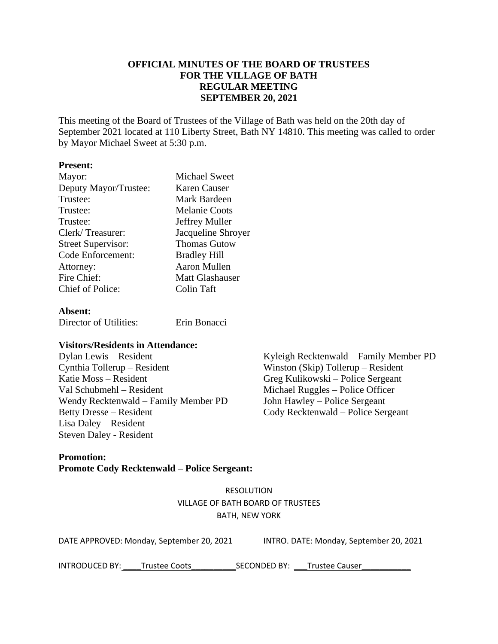## **OFFICIAL MINUTES OF THE BOARD OF TRUSTEES FOR THE VILLAGE OF BATH REGULAR MEETING SEPTEMBER 20, 2021**

This meeting of the Board of Trustees of the Village of Bath was held on the 20th day of September 2021 located at 110 Liberty Street, Bath NY 14810. This meeting was called to order by Mayor Michael Sweet at 5:30 p.m.

### **Present:**

| Mayor:                    | <b>Michael Sweet</b>   |
|---------------------------|------------------------|
| Deputy Mayor/Trustee:     | Karen Causer           |
| Trustee:                  | Mark Bardeen           |
| Trustee:                  | <b>Melanie Coots</b>   |
| Trustee:                  | Jeffrey Muller         |
| Clerk/Treasurer:          | Jacqueline Shroyer     |
| <b>Street Supervisor:</b> | <b>Thomas Gutow</b>    |
| <b>Code Enforcement:</b>  | <b>Bradley Hill</b>    |
| Attorney:                 | <b>Aaron Mullen</b>    |
| Fire Chief:               | <b>Matt Glashauser</b> |
| Chief of Police:          | Colin Taft             |
|                           |                        |

### **Absent:**

Director of Utilities: Erin Bonacci

## **Visitors/Residents in Attendance:**

Cynthia Tollerup – Resident Winston (Skip) Tollerup – Resident Katie Moss – Resident Greg Kulikowski – Police Sergeant Val Schubmehl – Resident Michael Ruggles – Police Officer<br>Wendy Recktenwald – Family Member PD John Hawley – Police Sergeant Wendy Recktenwald – Family Member PD Betty Dresse – Resident Cody Recktenwald – Police Sergeant Lisa Daley – Resident Steven Daley - Resident

Dylan Lewis – Resident Kyleigh Recktenwald – Family Member PD

## **Promotion: Promote Cody Recktenwald – Police Sergeant:**

RESOLUTION VILLAGE OF BATH BOARD OF TRUSTEES BATH, NEW YORK

| DATE APPROVED: Monday, September 20, 2021 | INTRO. DATE: Monday, September 20, 2021 |
|-------------------------------------------|-----------------------------------------|
|-------------------------------------------|-----------------------------------------|

INTRODUCED BY: \_\_\_\_Trustee Coots\_\_\_\_\_\_\_\_\_\_SECONDED BY: \_\_\_Trustee Causer\_\_\_\_\_\_\_\_\_\_\_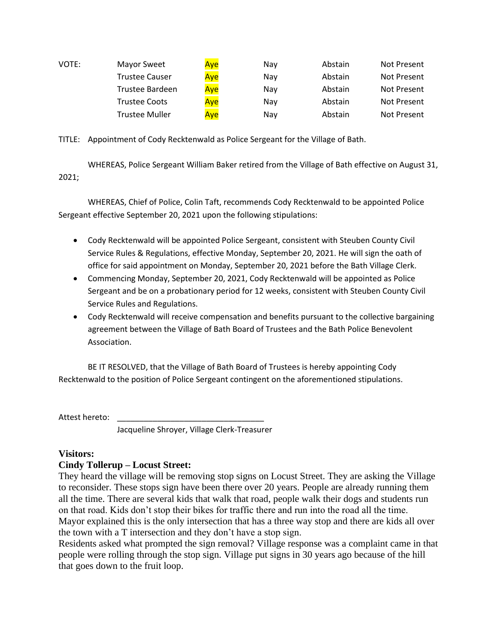| VOTE: | <b>Mayor Sweet</b>    | Aye | Nav | Abstain | Not Present |
|-------|-----------------------|-----|-----|---------|-------------|
|       | <b>Trustee Causer</b> | Aye | Nav | Abstain | Not Present |
|       | Trustee Bardeen       | Aye | Nav | Abstain | Not Present |
|       | <b>Trustee Coots</b>  | Aye | Nav | Abstain | Not Present |
|       | <b>Trustee Muller</b> | Aye | Nav | Abstain | Not Present |

TITLE: Appointment of Cody Recktenwald as Police Sergeant for the Village of Bath.

WHEREAS, Police Sergeant William Baker retired from the Village of Bath effective on August 31, 2021;

WHEREAS, Chief of Police, Colin Taft, recommends Cody Recktenwald to be appointed Police Sergeant effective September 20, 2021 upon the following stipulations:

- Cody Recktenwald will be appointed Police Sergeant, consistent with Steuben County Civil Service Rules & Regulations, effective Monday, September 20, 2021. He will sign the oath of office for said appointment on Monday, September 20, 2021 before the Bath Village Clerk.
- Commencing Monday, September 20, 2021, Cody Recktenwald will be appointed as Police Sergeant and be on a probationary period for 12 weeks, consistent with Steuben County Civil Service Rules and Regulations.
- Cody Recktenwald will receive compensation and benefits pursuant to the collective bargaining agreement between the Village of Bath Board of Trustees and the Bath Police Benevolent Association.

BE IT RESOLVED, that the Village of Bath Board of Trustees is hereby appointing Cody Recktenwald to the position of Police Sergeant contingent on the aforementioned stipulations.

Attest hereto:

Jacqueline Shroyer, Village Clerk-Treasurer

# **Visitors:**

# **Cindy Tollerup – Locust Street:**

They heard the village will be removing stop signs on Locust Street. They are asking the Village to reconsider. These stops sign have been there over 20 years. People are already running them all the time. There are several kids that walk that road, people walk their dogs and students run on that road. Kids don't stop their bikes for traffic there and run into the road all the time. Mayor explained this is the only intersection that has a three way stop and there are kids all over the town with a T intersection and they don't have a stop sign.

Residents asked what prompted the sign removal? Village response was a complaint came in that people were rolling through the stop sign. Village put signs in 30 years ago because of the hill that goes down to the fruit loop.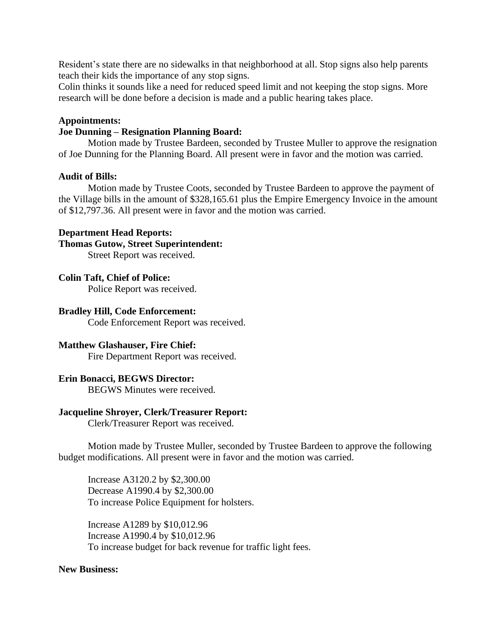Resident's state there are no sidewalks in that neighborhood at all. Stop signs also help parents teach their kids the importance of any stop signs.

Colin thinks it sounds like a need for reduced speed limit and not keeping the stop signs. More research will be done before a decision is made and a public hearing takes place.

### **Appointments:**

#### **Joe Dunning – Resignation Planning Board:**

Motion made by Trustee Bardeen, seconded by Trustee Muller to approve the resignation of Joe Dunning for the Planning Board. All present were in favor and the motion was carried.

#### **Audit of Bills:**

Motion made by Trustee Coots, seconded by Trustee Bardeen to approve the payment of the Village bills in the amount of \$328,165.61 plus the Empire Emergency Invoice in the amount of \$12,797.36. All present were in favor and the motion was carried.

#### **Department Head Reports:**

#### **Thomas Gutow, Street Superintendent:**

Street Report was received.

#### **Colin Taft, Chief of Police:**

Police Report was received.

#### **Bradley Hill, Code Enforcement:**

Code Enforcement Report was received.

### **Matthew Glashauser, Fire Chief:**

Fire Department Report was received.

### **Erin Bonacci, BEGWS Director:**

BEGWS Minutes were received.

#### **Jacqueline Shroyer, Clerk/Treasurer Report:**

Clerk/Treasurer Report was received.

Motion made by Trustee Muller, seconded by Trustee Bardeen to approve the following budget modifications. All present were in favor and the motion was carried.

Increase A3120.2 by \$2,300.00 Decrease A1990.4 by \$2,300.00 To increase Police Equipment for holsters.

Increase A1289 by \$10,012.96 Increase A1990.4 by \$10,012.96 To increase budget for back revenue for traffic light fees.

### **New Business:**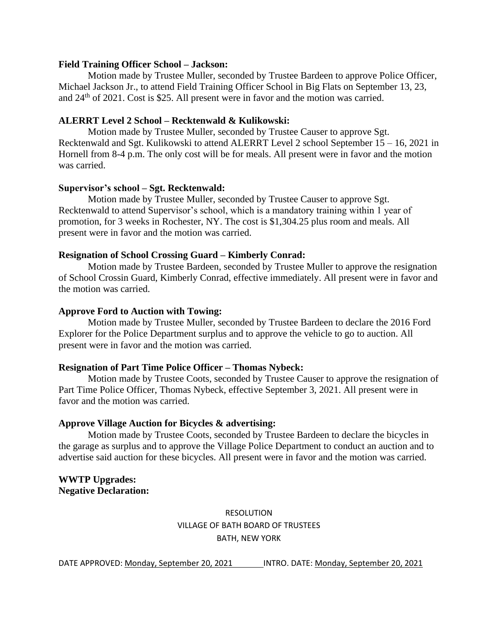#### **Field Training Officer School – Jackson:**

Motion made by Trustee Muller, seconded by Trustee Bardeen to approve Police Officer, Michael Jackson Jr., to attend Field Training Officer School in Big Flats on September 13, 23, and 24<sup>th</sup> of 2021. Cost is \$25. All present were in favor and the motion was carried.

## **ALERRT Level 2 School – Recktenwald & Kulikowski:**

Motion made by Trustee Muller, seconded by Trustee Causer to approve Sgt. Recktenwald and Sgt. Kulikowski to attend ALERRT Level 2 school September 15 – 16, 2021 in Hornell from 8-4 p.m. The only cost will be for meals. All present were in favor and the motion was carried.

### **Supervisor's school – Sgt. Recktenwald:**

Motion made by Trustee Muller, seconded by Trustee Causer to approve Sgt. Recktenwald to attend Supervisor's school, which is a mandatory training within 1 year of promotion, for 3 weeks in Rochester, NY. The cost is \$1,304.25 plus room and meals. All present were in favor and the motion was carried.

#### **Resignation of School Crossing Guard – Kimberly Conrad:**

Motion made by Trustee Bardeen, seconded by Trustee Muller to approve the resignation of School Crossin Guard, Kimberly Conrad, effective immediately. All present were in favor and the motion was carried.

#### **Approve Ford to Auction with Towing:**

Motion made by Trustee Muller, seconded by Trustee Bardeen to declare the 2016 Ford Explorer for the Police Department surplus and to approve the vehicle to go to auction. All present were in favor and the motion was carried.

#### **Resignation of Part Time Police Officer – Thomas Nybeck:**

Motion made by Trustee Coots, seconded by Trustee Causer to approve the resignation of Part Time Police Officer, Thomas Nybeck, effective September 3, 2021. All present were in favor and the motion was carried.

#### **Approve Village Auction for Bicycles & advertising:**

Motion made by Trustee Coots, seconded by Trustee Bardeen to declare the bicycles in the garage as surplus and to approve the Village Police Department to conduct an auction and to advertise said auction for these bicycles. All present were in favor and the motion was carried.

**WWTP Upgrades: Negative Declaration:**

> RESOLUTION VILLAGE OF BATH BOARD OF TRUSTEES BATH, NEW YORK

DATE APPROVED: Monday, September 20, 2021 INTRO. DATE: Monday, September 20, 2021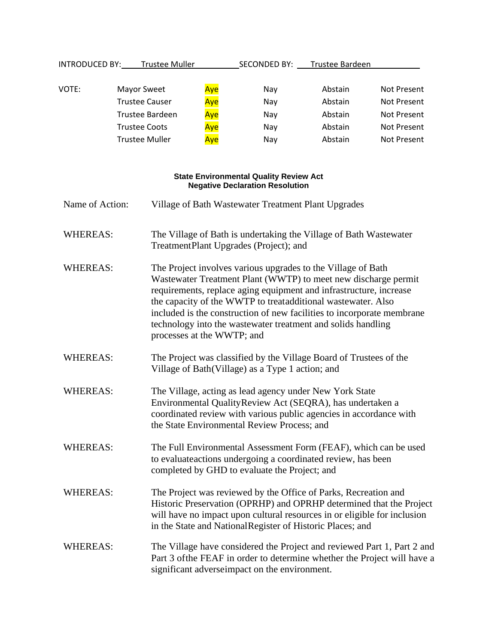| <b>INTRODUCED BY:</b> | <b>Trustee Muller</b> |     | <b>SECONDED BY:</b> | Trustee Bardeen |                    |
|-----------------------|-----------------------|-----|---------------------|-----------------|--------------------|
| VOTE:                 | <b>Mayor Sweet</b>    | Aye | Nav                 | Abstain         | <b>Not Present</b> |
|                       | <b>Trustee Causer</b> | Aye | Nay                 | Abstain         | <b>Not Present</b> |
|                       | Trustee Bardeen       | Aye | Nay                 | Abstain         | Not Present        |
|                       | <b>Trustee Coots</b>  | Aye | Nav                 | Abstain         | <b>Not Present</b> |
|                       | <b>Trustee Muller</b> | Aye | Nay                 | Abstain         | Not Present        |
|                       |                       |     |                     |                 |                    |

#### **State Environmental Quality Review Act Negative Declaration Resolution**

| Name of Action:<br>Village of Bath Wastewater Treatment Plant Upgrades |                                                                                                                                                                                                                                                                                                                                                                                                                                              |  |  |
|------------------------------------------------------------------------|----------------------------------------------------------------------------------------------------------------------------------------------------------------------------------------------------------------------------------------------------------------------------------------------------------------------------------------------------------------------------------------------------------------------------------------------|--|--|
| <b>WHEREAS:</b>                                                        | The Village of Bath is undertaking the Village of Bath Wastewater<br>TreatmentPlant Upgrades (Project); and                                                                                                                                                                                                                                                                                                                                  |  |  |
| <b>WHEREAS:</b>                                                        | The Project involves various upgrades to the Village of Bath<br>Wastewater Treatment Plant (WWTP) to meet new discharge permit<br>requirements, replace aging equipment and infrastructure, increase<br>the capacity of the WWTP to treatadditional wastewater. Also<br>included is the construction of new facilities to incorporate membrane<br>technology into the wastewater treatment and solids handling<br>processes at the WWTP; and |  |  |
| <b>WHEREAS:</b>                                                        | The Project was classified by the Village Board of Trustees of the<br>Village of Bath (Village) as a Type 1 action; and                                                                                                                                                                                                                                                                                                                      |  |  |
| <b>WHEREAS:</b>                                                        | The Village, acting as lead agency under New York State<br>Environmental QualityReview Act (SEQRA), has undertaken a<br>coordinated review with various public agencies in accordance with<br>the State Environmental Review Process; and                                                                                                                                                                                                    |  |  |
| <b>WHEREAS:</b>                                                        | The Full Environmental Assessment Form (FEAF), which can be used<br>to evaluate actions undergoing a coordinated review, has been<br>completed by GHD to evaluate the Project; and                                                                                                                                                                                                                                                           |  |  |
| <b>WHEREAS:</b>                                                        | The Project was reviewed by the Office of Parks, Recreation and<br>Historic Preservation (OPRHP) and OPRHP determined that the Project<br>will have no impact upon cultural resources in or eligible for inclusion<br>in the State and National Register of Historic Places; and                                                                                                                                                             |  |  |
| <b>WHEREAS:</b>                                                        | The Village have considered the Project and reviewed Part 1, Part 2 and<br>Part 3 of the FEAF in order to determine whether the Project will have a<br>significant adverseimpact on the environment.                                                                                                                                                                                                                                         |  |  |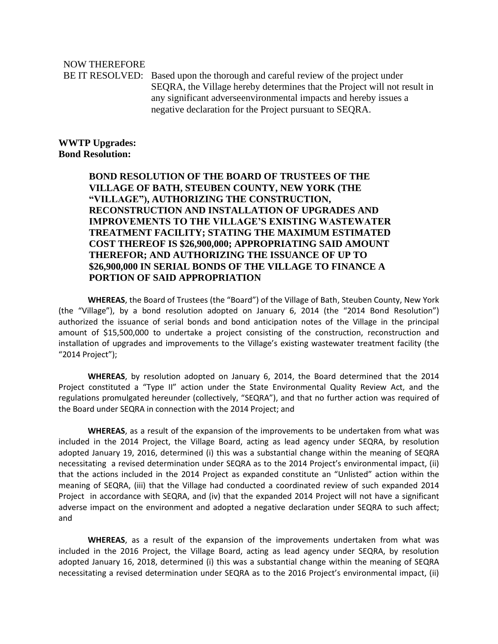NOW THEREFORE

BE IT RESOLVED: Based upon the thorough and careful review of the project under SEQRA, the Village hereby determines that the Project will not result in any significant adverseenvironmental impacts and hereby issues a negative declaration for the Project pursuant to SEQRA.

**WWTP Upgrades: Bond Resolution:**

> **BOND RESOLUTION OF THE BOARD OF TRUSTEES OF THE VILLAGE OF BATH, STEUBEN COUNTY, NEW YORK (THE "VILLAGE"), AUTHORIZING THE CONSTRUCTION, RECONSTRUCTION AND INSTALLATION OF UPGRADES AND IMPROVEMENTS TO THE VILLAGE'S EXISTING WASTEWATER TREATMENT FACILITY; STATING THE MAXIMUM ESTIMATED COST THEREOF IS \$26,900,000; APPROPRIATING SAID AMOUNT THEREFOR; AND AUTHORIZING THE ISSUANCE OF UP TO \$26,900,000 IN SERIAL BONDS OF THE VILLAGE TO FINANCE A PORTION OF SAID APPROPRIATION**

**WHEREAS**, the Board of Trustees (the "Board") of the Village of Bath, Steuben County, New York (the "Village"), by a bond resolution adopted on January 6, 2014 (the "2014 Bond Resolution") authorized the issuance of serial bonds and bond anticipation notes of the Village in the principal amount of \$15,500,000 to undertake a project consisting of the construction, reconstruction and installation of upgrades and improvements to the Village's existing wastewater treatment facility (the "2014 Project");

**WHEREAS**, by resolution adopted on January 6, 2014, the Board determined that the 2014 Project constituted a "Type II" action under the State Environmental Quality Review Act, and the regulations promulgated hereunder (collectively, "SEQRA"), and that no further action was required of the Board under SEQRA in connection with the 2014 Project; and

**WHEREAS**, as a result of the expansion of the improvements to be undertaken from what was included in the 2014 Project, the Village Board, acting as lead agency under SEQRA, by resolution adopted January 19, 2016, determined (i) this was a substantial change within the meaning of SEQRA necessitating a revised determination under SEQRA as to the 2014 Project's environmental impact, (ii) that the actions included in the 2014 Project as expanded constitute an "Unlisted" action within the meaning of SEQRA, (iii) that the Village had conducted a coordinated review of such expanded 2014 Project in accordance with SEQRA, and (iv) that the expanded 2014 Project will not have a significant adverse impact on the environment and adopted a negative declaration under SEQRA to such affect; and

**WHEREAS**, as a result of the expansion of the improvements undertaken from what was included in the 2016 Project, the Village Board, acting as lead agency under SEQRA, by resolution adopted January 16, 2018, determined (i) this was a substantial change within the meaning of SEQRA necessitating a revised determination under SEQRA as to the 2016 Project's environmental impact, (ii)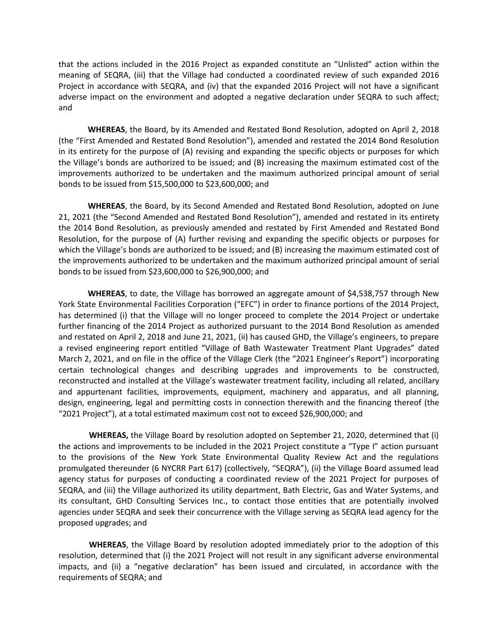that the actions included in the 2016 Project as expanded constitute an "Unlisted" action within the meaning of SEQRA, (iii) that the Village had conducted a coordinated review of such expanded 2016 Project in accordance with SEQRA, and (iv) that the expanded 2016 Project will not have a significant adverse impact on the environment and adopted a negative declaration under SEQRA to such affect; and

**WHEREAS**, the Board, by its Amended and Restated Bond Resolution, adopted on April 2, 2018 (the "First Amended and Restated Bond Resolution"), amended and restated the 2014 Bond Resolution in its entirety for the purpose of (A) revising and expanding the specific objects or purposes for which the Village's bonds are authorized to be issued; and (B) increasing the maximum estimated cost of the improvements authorized to be undertaken and the maximum authorized principal amount of serial bonds to be issued from \$15,500,000 to \$23,600,000; and

**WHEREAS**, the Board, by its Second Amended and Restated Bond Resolution, adopted on June 21, 2021 (the "Second Amended and Restated Bond Resolution"), amended and restated in its entirety the 2014 Bond Resolution, as previously amended and restated by First Amended and Restated Bond Resolution, for the purpose of (A) further revising and expanding the specific objects or purposes for which the Village's bonds are authorized to be issued; and (B) increasing the maximum estimated cost of the improvements authorized to be undertaken and the maximum authorized principal amount of serial bonds to be issued from \$23,600,000 to \$26,900,000; and

**WHEREAS**, to date, the Village has borrowed an aggregate amount of \$4,538,757 through New York State Environmental Facilities Corporation ("EFC") in order to finance portions of the 2014 Project, has determined (i) that the Village will no longer proceed to complete the 2014 Project or undertake further financing of the 2014 Project as authorized pursuant to the 2014 Bond Resolution as amended and restated on April 2, 2018 and June 21, 2021, (ii) has caused GHD, the Village's engineers, to prepare a revised engineering report entitled "Village of Bath Wastewater Treatment Plant Upgrades" dated March 2, 2021, and on file in the office of the Village Clerk (the "2021 Engineer's Report") incorporating certain technological changes and describing upgrades and improvements to be constructed, reconstructed and installed at the Village's wastewater treatment facility, including all related, ancillary and appurtenant facilities, improvements, equipment, machinery and apparatus, and all planning, design, engineering, legal and permitting costs in connection therewith and the financing thereof (the "2021 Project"), at a total estimated maximum cost not to exceed \$26,900,000; and

**WHEREAS,** the Village Board by resolution adopted on September 21, 2020, determined that (i) the actions and improvements to be included in the 2021 Project constitute a "Type I" action pursuant to the provisions of the New York State Environmental Quality Review Act and the regulations promulgated thereunder (6 NYCRR Part 617) (collectively, "SEQRA"), (ii) the Village Board assumed lead agency status for purposes of conducting a coordinated review of the 2021 Project for purposes of SEQRA, and (iii) the Village authorized its utility department, Bath Electric, Gas and Water Systems, and its consultant, GHD Consulting Services Inc., to contact those entities that are potentially involved agencies under SEQRA and seek their concurrence with the Village serving as SEQRA lead agency for the proposed upgrades; and

**WHEREAS**, the Village Board by resolution adopted immediately prior to the adoption of this resolution, determined that (i) the 2021 Project will not result in any significant adverse environmental impacts, and (ii) a "negative declaration" has been issued and circulated, in accordance with the requirements of SEQRA; and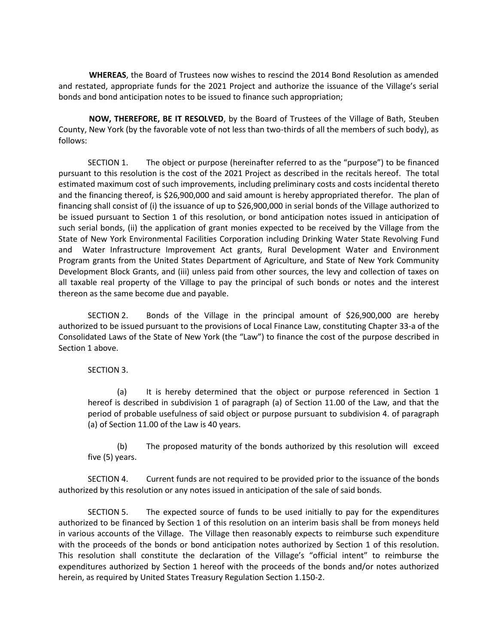**WHEREAS**, the Board of Trustees now wishes to rescind the 2014 Bond Resolution as amended and restated, appropriate funds for the 2021 Project and authorize the issuance of the Village's serial bonds and bond anticipation notes to be issued to finance such appropriation;

**NOW, THEREFORE, BE IT RESOLVED**, by the Board of Trustees of the Village of Bath, Steuben County, New York (by the favorable vote of not less than two-thirds of all the members of such body), as follows:

SECTION 1. The object or purpose (hereinafter referred to as the "purpose") to be financed pursuant to this resolution is the cost of the 2021 Project as described in the recitals hereof. The total estimated maximum cost of such improvements, including preliminary costs and costs incidental thereto and the financing thereof, is \$26,900,000 and said amount is hereby appropriated therefor. The plan of financing shall consist of (i) the issuance of up to \$26,900,000 in serial bonds of the Village authorized to be issued pursuant to Section 1 of this resolution, or bond anticipation notes issued in anticipation of such serial bonds, (ii) the application of grant monies expected to be received by the Village from the State of New York Environmental Facilities Corporation including Drinking Water State Revolving Fund and Water Infrastructure Improvement Act grants, Rural Development Water and Environment Program grants from the United States Department of Agriculture, and State of New York Community Development Block Grants, and (iii) unless paid from other sources, the levy and collection of taxes on all taxable real property of the Village to pay the principal of such bonds or notes and the interest thereon as the same become due and payable.

SECTION 2. Bonds of the Village in the principal amount of \$26,900,000 are hereby authorized to be issued pursuant to the provisions of Local Finance Law, constituting Chapter 33-a of the Consolidated Laws of the State of New York (the "Law") to finance the cost of the purpose described in Section 1 above.

SECTION 3.

(a) It is hereby determined that the object or purpose referenced in Section 1 hereof is described in subdivision 1 of paragraph (a) of Section 11.00 of the Law, and that the period of probable usefulness of said object or purpose pursuant to subdivision 4. of paragraph (a) of Section 11.00 of the Law is 40 years.

(b) The proposed maturity of the bonds authorized by this resolution will exceed five (5) years.

SECTION 4. Current funds are not required to be provided prior to the issuance of the bonds authorized by this resolution or any notes issued in anticipation of the sale of said bonds.

SECTION 5. The expected source of funds to be used initially to pay for the expenditures authorized to be financed by Section 1 of this resolution on an interim basis shall be from moneys held in various accounts of the Village. The Village then reasonably expects to reimburse such expenditure with the proceeds of the bonds or bond anticipation notes authorized by Section 1 of this resolution. This resolution shall constitute the declaration of the Village's "official intent" to reimburse the expenditures authorized by Section 1 hereof with the proceeds of the bonds and/or notes authorized herein, as required by United States Treasury Regulation Section 1.150-2.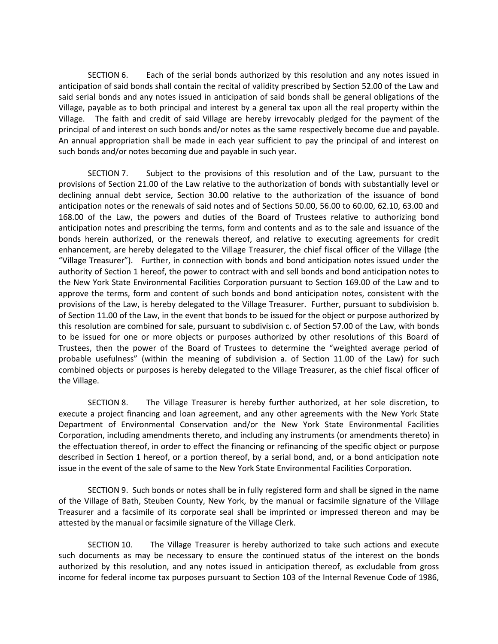SECTION 6. Each of the serial bonds authorized by this resolution and any notes issued in anticipation of said bonds shall contain the recital of validity prescribed by Section 52.00 of the Law and said serial bonds and any notes issued in anticipation of said bonds shall be general obligations of the Village, payable as to both principal and interest by a general tax upon all the real property within the Village. The faith and credit of said Village are hereby irrevocably pledged for the payment of the principal of and interest on such bonds and/or notes as the same respectively become due and payable. An annual appropriation shall be made in each year sufficient to pay the principal of and interest on such bonds and/or notes becoming due and payable in such year.

SECTION 7. Subject to the provisions of this resolution and of the Law, pursuant to the provisions of Section 21.00 of the Law relative to the authorization of bonds with substantially level or declining annual debt service, Section 30.00 relative to the authorization of the issuance of bond anticipation notes or the renewals of said notes and of Sections 50.00, 56.00 to 60.00, 62.10, 63.00 and 168.00 of the Law, the powers and duties of the Board of Trustees relative to authorizing bond anticipation notes and prescribing the terms, form and contents and as to the sale and issuance of the bonds herein authorized, or the renewals thereof, and relative to executing agreements for credit enhancement, are hereby delegated to the Village Treasurer, the chief fiscal officer of the Village (the "Village Treasurer"). Further, in connection with bonds and bond anticipation notes issued under the authority of Section 1 hereof, the power to contract with and sell bonds and bond anticipation notes to the New York State Environmental Facilities Corporation pursuant to Section 169.00 of the Law and to approve the terms, form and content of such bonds and bond anticipation notes, consistent with the provisions of the Law, is hereby delegated to the Village Treasurer. Further, pursuant to subdivision b. of Section 11.00 of the Law, in the event that bonds to be issued for the object or purpose authorized by this resolution are combined for sale, pursuant to subdivision c. of Section 57.00 of the Law, with bonds to be issued for one or more objects or purposes authorized by other resolutions of this Board of Trustees, then the power of the Board of Trustees to determine the "weighted average period of probable usefulness" (within the meaning of subdivision a. of Section 11.00 of the Law) for such combined objects or purposes is hereby delegated to the Village Treasurer, as the chief fiscal officer of the Village.

SECTION 8. The Village Treasurer is hereby further authorized, at her sole discretion, to execute a project financing and loan agreement, and any other agreements with the New York State Department of Environmental Conservation and/or the New York State Environmental Facilities Corporation, including amendments thereto, and including any instruments (or amendments thereto) in the effectuation thereof, in order to effect the financing or refinancing of the specific object or purpose described in Section 1 hereof, or a portion thereof, by a serial bond, and, or a bond anticipation note issue in the event of the sale of same to the New York State Environmental Facilities Corporation.

SECTION 9. Such bonds or notes shall be in fully registered form and shall be signed in the name of the Village of Bath, Steuben County, New York, by the manual or facsimile signature of the Village Treasurer and a facsimile of its corporate seal shall be imprinted or impressed thereon and may be attested by the manual or facsimile signature of the Village Clerk.

SECTION 10. The Village Treasurer is hereby authorized to take such actions and execute such documents as may be necessary to ensure the continued status of the interest on the bonds authorized by this resolution, and any notes issued in anticipation thereof, as excludable from gross income for federal income tax purposes pursuant to Section 103 of the Internal Revenue Code of 1986,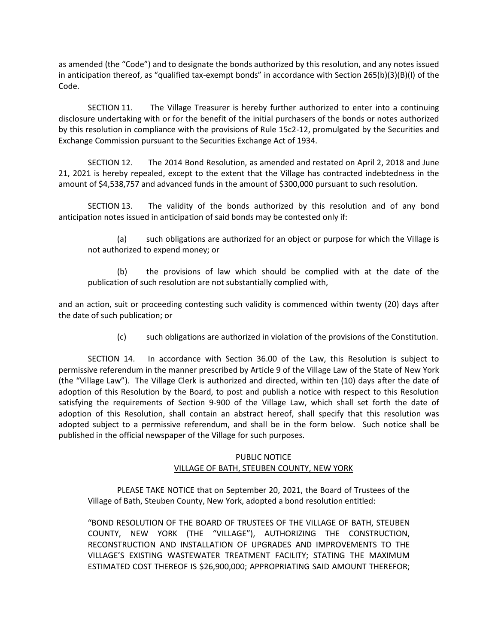as amended (the "Code") and to designate the bonds authorized by this resolution, and any notes issued in anticipation thereof, as "qualified tax-exempt bonds" in accordance with Section 265(b)(3)(B)(I) of the Code.

SECTION 11. The Village Treasurer is hereby further authorized to enter into a continuing disclosure undertaking with or for the benefit of the initial purchasers of the bonds or notes authorized by this resolution in compliance with the provisions of Rule 15c2-12, promulgated by the Securities and Exchange Commission pursuant to the Securities Exchange Act of 1934.

SECTION 12. The 2014 Bond Resolution, as amended and restated on April 2, 2018 and June 21, 2021 is hereby repealed, except to the extent that the Village has contracted indebtedness in the amount of \$4,538,757 and advanced funds in the amount of \$300,000 pursuant to such resolution.

SECTION 13. The validity of the bonds authorized by this resolution and of any bond anticipation notes issued in anticipation of said bonds may be contested only if:

(a) such obligations are authorized for an object or purpose for which the Village is not authorized to expend money; or

(b) the provisions of law which should be complied with at the date of the publication of such resolution are not substantially complied with,

and an action, suit or proceeding contesting such validity is commenced within twenty (20) days after the date of such publication; or

(c) such obligations are authorized in violation of the provisions of the Constitution.

SECTION 14. In accordance with Section 36.00 of the Law, this Resolution is subject to permissive referendum in the manner prescribed by Article 9 of the Village Law of the State of New York (the "Village Law"). The Village Clerk is authorized and directed, within ten (10) days after the date of adoption of this Resolution by the Board, to post and publish a notice with respect to this Resolution satisfying the requirements of Section 9-900 of the Village Law, which shall set forth the date of adoption of this Resolution, shall contain an abstract hereof, shall specify that this resolution was adopted subject to a permissive referendum, and shall be in the form below. Such notice shall be published in the official newspaper of the Village for such purposes.

### PUBLIC NOTICE VILLAGE OF BATH, STEUBEN COUNTY, NEW YORK

PLEASE TAKE NOTICE that on September 20, 2021, the Board of Trustees of the Village of Bath, Steuben County, New York, adopted a bond resolution entitled:

"BOND RESOLUTION OF THE BOARD OF TRUSTEES OF THE VILLAGE OF BATH, STEUBEN COUNTY, NEW YORK (THE "VILLAGE"), AUTHORIZING THE CONSTRUCTION, RECONSTRUCTION AND INSTALLATION OF UPGRADES AND IMPROVEMENTS TO THE VILLAGE'S EXISTING WASTEWATER TREATMENT FACILITY; STATING THE MAXIMUM ESTIMATED COST THEREOF IS \$26,900,000; APPROPRIATING SAID AMOUNT THEREFOR;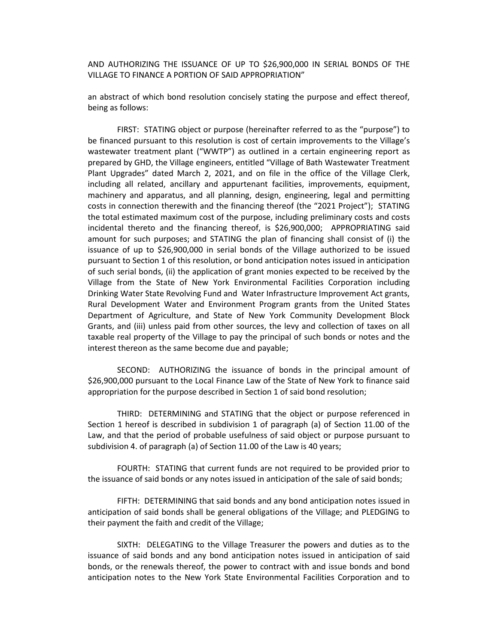AND AUTHORIZING THE ISSUANCE OF UP TO \$26,900,000 IN SERIAL BONDS OF THE VILLAGE TO FINANCE A PORTION OF SAID APPROPRIATION"

an abstract of which bond resolution concisely stating the purpose and effect thereof, being as follows:

FIRST: STATING object or purpose (hereinafter referred to as the "purpose") to be financed pursuant to this resolution is cost of certain improvements to the Village's wastewater treatment plant ("WWTP") as outlined in a certain engineering report as prepared by GHD, the Village engineers, entitled "Village of Bath Wastewater Treatment Plant Upgrades" dated March 2, 2021, and on file in the office of the Village Clerk, including all related, ancillary and appurtenant facilities, improvements, equipment, machinery and apparatus, and all planning, design, engineering, legal and permitting costs in connection therewith and the financing thereof (the "2021 Project"); STATING the total estimated maximum cost of the purpose, including preliminary costs and costs incidental thereto and the financing thereof, is \$26,900,000; APPROPRIATING said amount for such purposes; and STATING the plan of financing shall consist of (i) the issuance of up to \$26,900,000 in serial bonds of the Village authorized to be issued pursuant to Section 1 of this resolution, or bond anticipation notes issued in anticipation of such serial bonds, (ii) the application of grant monies expected to be received by the Village from the State of New York Environmental Facilities Corporation including Drinking Water State Revolving Fund and Water Infrastructure Improvement Act grants, Rural Development Water and Environment Program grants from the United States Department of Agriculture, and State of New York Community Development Block Grants, and (iii) unless paid from other sources, the levy and collection of taxes on all taxable real property of the Village to pay the principal of such bonds or notes and the interest thereon as the same become due and payable;

SECOND: AUTHORIZING the issuance of bonds in the principal amount of \$26,900,000 pursuant to the Local Finance Law of the State of New York to finance said appropriation for the purpose described in Section 1 of said bond resolution;

THIRD: DETERMINING and STATING that the object or purpose referenced in Section 1 hereof is described in subdivision 1 of paragraph (a) of Section 11.00 of the Law, and that the period of probable usefulness of said object or purpose pursuant to subdivision 4. of paragraph (a) of Section 11.00 of the Law is 40 years;

FOURTH: STATING that current funds are not required to be provided prior to the issuance of said bonds or any notes issued in anticipation of the sale of said bonds;

FIFTH: DETERMINING that said bonds and any bond anticipation notes issued in anticipation of said bonds shall be general obligations of the Village; and PLEDGING to their payment the faith and credit of the Village;

SIXTH: DELEGATING to the Village Treasurer the powers and duties as to the issuance of said bonds and any bond anticipation notes issued in anticipation of said bonds, or the renewals thereof, the power to contract with and issue bonds and bond anticipation notes to the New York State Environmental Facilities Corporation and to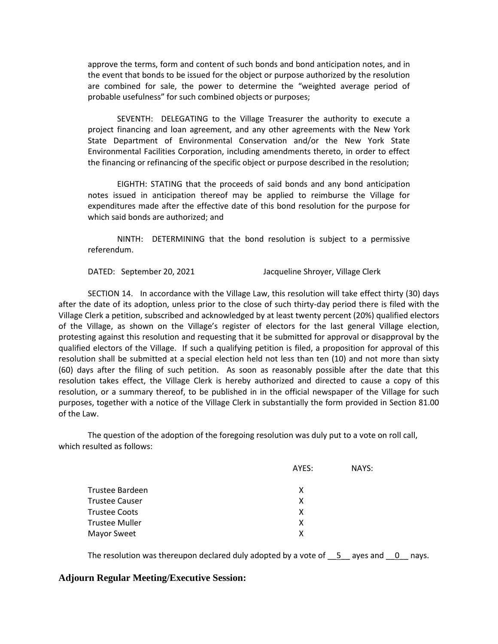approve the terms, form and content of such bonds and bond anticipation notes, and in the event that bonds to be issued for the object or purpose authorized by the resolution are combined for sale, the power to determine the "weighted average period of probable usefulness" for such combined objects or purposes;

SEVENTH: DELEGATING to the Village Treasurer the authority to execute a project financing and loan agreement, and any other agreements with the New York State Department of Environmental Conservation and/or the New York State Environmental Facilities Corporation, including amendments thereto, in order to effect the financing or refinancing of the specific object or purpose described in the resolution;

EIGHTH: STATING that the proceeds of said bonds and any bond anticipation notes issued in anticipation thereof may be applied to reimburse the Village for expenditures made after the effective date of this bond resolution for the purpose for which said bonds are authorized; and

NINTH: DETERMINING that the bond resolution is subject to a permissive referendum.

DATED: September 20, 2021 Jacqueline Shroyer, Village Clerk

SECTION 14. In accordance with the Village Law, this resolution will take effect thirty (30) days after the date of its adoption, unless prior to the close of such thirty-day period there is filed with the Village Clerk a petition, subscribed and acknowledged by at least twenty percent (20%) qualified electors of the Village, as shown on the Village's register of electors for the last general Village election, protesting against this resolution and requesting that it be submitted for approval or disapproval by the qualified electors of the Village. If such a qualifying petition is filed, a proposition for approval of this resolution shall be submitted at a special election held not less than ten (10) and not more than sixty (60) days after the filing of such petition. As soon as reasonably possible after the date that this resolution takes effect, the Village Clerk is hereby authorized and directed to cause a copy of this resolution, or a summary thereof, to be published in in the official newspaper of the Village for such purposes, together with a notice of the Village Clerk in substantially the form provided in Section 81.00 of the Law.

The question of the adoption of the foregoing resolution was duly put to a vote on roll call, which resulted as follows:

|                       | AYES: | NAYS: |
|-----------------------|-------|-------|
| Trustee Bardeen       | x     |       |
| <b>Trustee Causer</b> | x     |       |
| Trustee Coots         | х     |       |
| Trustee Muller        | x     |       |
| Mayor Sweet           | x     |       |
|                       |       |       |

The resolution was thereupon declared duly adopted by a vote of  $\overline{5}$  ayes and  $\overline{0}$  nays.

### **Adjourn Regular Meeting/Executive Session:**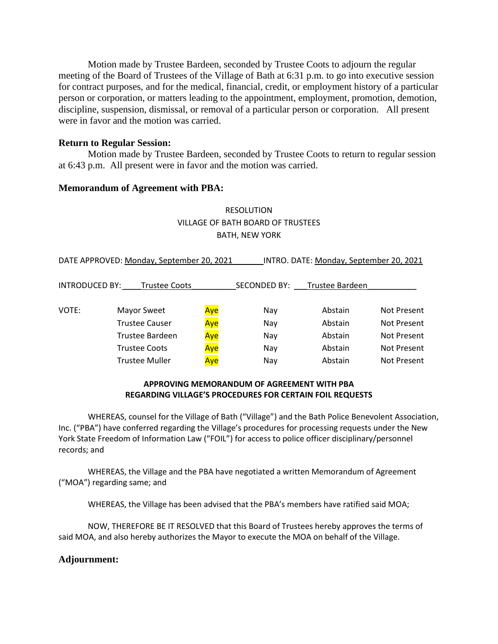Motion made by Trustee Bardeen, seconded by Trustee Coots to adjourn the regular meeting of the Board of Trustees of the Village of Bath at 6:31 p.m. to go into executive session for contract purposes, and for the medical, financial, credit, or employment history of a particular person or corporation, or matters leading to the appointment, employment, promotion, demotion, discipline, suspension, dismissal, or removal of a particular person or corporation. All present were in favor and the motion was carried.

### **Return to Regular Session:**

Motion made by Trustee Bardeen, seconded by Trustee Coots to return to regular session at 6:43 p.m. All present were in favor and the motion was carried.

### **Memorandum of Agreement with PBA:**

# RESOLUTION VILLAGE OF BATH BOARD OF TRUSTEES BATH, NEW YORK

DATE APPROVED: Monday, September 20, 2021 INTRO. DATE: Monday, September 20, 2021

| <b>INTRODUCED BY:</b> | <b>Trustee Coots</b>  |     | SECONDED BY: | <b>Trustee Bardeen</b> |             |
|-----------------------|-----------------------|-----|--------------|------------------------|-------------|
| VOTE:                 | <b>Mayor Sweet</b>    | Aye | Nav          | Abstain                | Not Present |
|                       | <b>Trustee Causer</b> | Aye | Nay          | Abstain                | Not Present |
|                       | Trustee Bardeen       | Aye | Nay          | Abstain                | Not Present |
|                       | <b>Trustee Coots</b>  | Aye | Nay          | Abstain                | Not Present |
|                       | <b>Trustee Muller</b> | Ave | Nav          | Abstain                | Not Present |

### **APPROVING MEMORANDUM OF AGREEMENT WITH PBA REGARDING VILLAGE'S PROCEDURES FOR CERTAIN FOIL REQUESTS**

WHEREAS, counsel for the Village of Bath ("Village") and the Bath Police Benevolent Association, Inc. ("PBA") have conferred regarding the Village's procedures for processing requests under the New York State Freedom of Information Law ("FOIL") for access to police officer disciplinary/personnel records; and

WHEREAS, the Village and the PBA have negotiated a written Memorandum of Agreement ("MOA") regarding same; and

WHEREAS, the Village has been advised that the PBA's members have ratified said MOA;

NOW, THEREFORE BE IT RESOLVED that this Board of Trustees hereby approves the terms of said MOA, and also hereby authorizes the Mayor to execute the MOA on behalf of the Village.

### **Adjournment:**